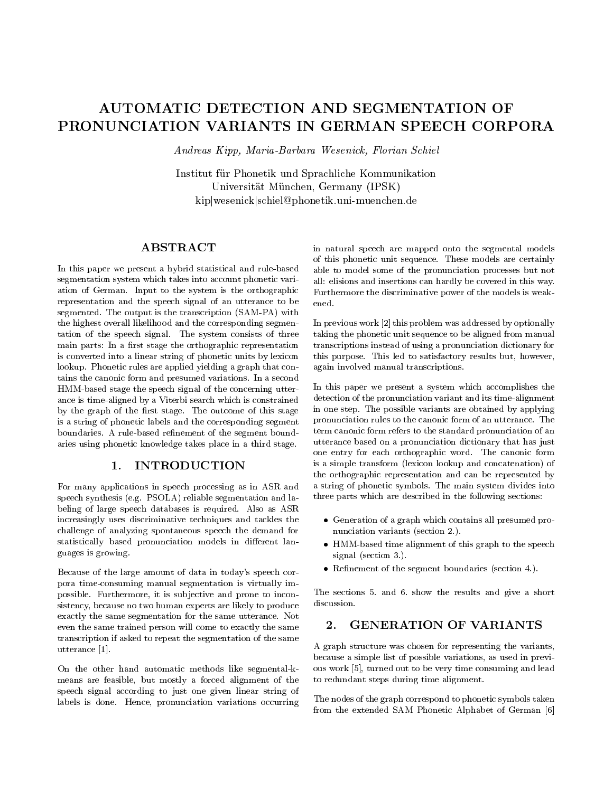# AUTOMATIC DETECTION AND SEGMENTATION OF PRONUNCIATION VARIANTS IN GERMAN SPEECH CORPORA

Andreas Kipp, Maria-Barbara Wesenick, Florian Schiel

Institut fur Phonetik und Sprachliche Kommunikation Universitat Munchen, Germany (IPSK) kipjwesenickjschiel@phonetik.uni-muenchen.de

## ABSTRACT

In this paper we present a hybrid statistical and rule-based segmentation system which takes into account phonetic variation of German. Input to the system is the orthographic representation and the speech signal of an utterance to be segmented. The output is the transcription (SAM-PA) with the highest overall likelihood and the corresponding segmentation of the speech signal. The system consists of three main parts: In a first stage the orthographic representation is converted into a linear string of phonetic units by lexicon lookup. Phonetic rules are applied yielding a graph that contains the canonic form and presumed variations. In a second HMM-based stage the speech signal of the concerning utterance is time-aligned by a Viterbi search which is constrained by the graph of the first stage. The outcome of this stage is a string of phonetic labels and the corresponding segment boundaries. A rule-based refinement of the segment boundaries using phonetic knowledge takes place in a third stage.

#### 1. INTRODUCTION  $\mathbf{1}$ .

For many applications in speech processing as in ASR and speech synthesis (e.g. PSOLA) reliable segmentation and labeling of large speech databases is required. Also as ASR increasingly uses discriminative techniques and tackles the challenge of analyzing spontaneous speech the demand for statistically based pronunciation models in different languages is growing.

Because of the large amount of data in today's speech corpora time-consuming manual segmentation is virtually impossible. Furthermore, it is sub jective and prone to inconsistency, because no two human experts are likely to produce exactly the same segmentation for the same utterance. Not even the same trained person will come to exactly the same transcription if asked to repeat the segmentation of the same utterance [1].

On the other hand automatic methods like segmental-k means are feasible, but mostly a forced alignment of the speech signal according to just one given linear string of labels is done. Hence, pronunciation variations occurring in natural speech are mapped onto the segmental models of this phonetic unit sequence. These models are certainly able to model some of the pronunciation processes but not all: elisions and insertions can hardly be covered in this way. Furthermore the discriminative power of the models is weakened.

In previous work [2] this problem was addressed by optionally taking the phonetic unit sequence to be aligned from manual transcriptions instead of using a pronunciation dictionary for this purpose. This led to satisfactory results but, however, again involved manual transcriptions.

In this paper we present a system which accomplishes the detection of the pronunciation variant and its time-alignment in one step. The possible variants are obtained by applying pronunciation rules to the canonic form of an utterance. The term canonic form refers to the standard pronunciation of an utterance based on a pronunciation dictionary that has just one entry for each orthographic word. The canonic form is a simple transform (lexicon lookup and concatenation) of the orthographic representation and can be represented by a string of phonetic symbols. The main system divides into three parts which are described in the following sections:

- Generation of a graph which contains all presumed pro nunciation variants (section 2.).
- HMM-based time alignment of this graph to the speech signal (section 3.).
- $\bullet$  Refinement of the segment boundaries (section 4.).

The sections 5. and 6. show the results and give a short discussion.

#### $2.$ **GENERATION OF VARIANTS**

A graph structure was chosen for representing the variants, because a simple list of possible variations, as used in previ ous work [5], turned out to be very time consuming and lead to redundant steps during time alignment.

The nodes of the graph correspond to phonetic symbols taken from the extended SAM Phonetic Alphabet of German [6]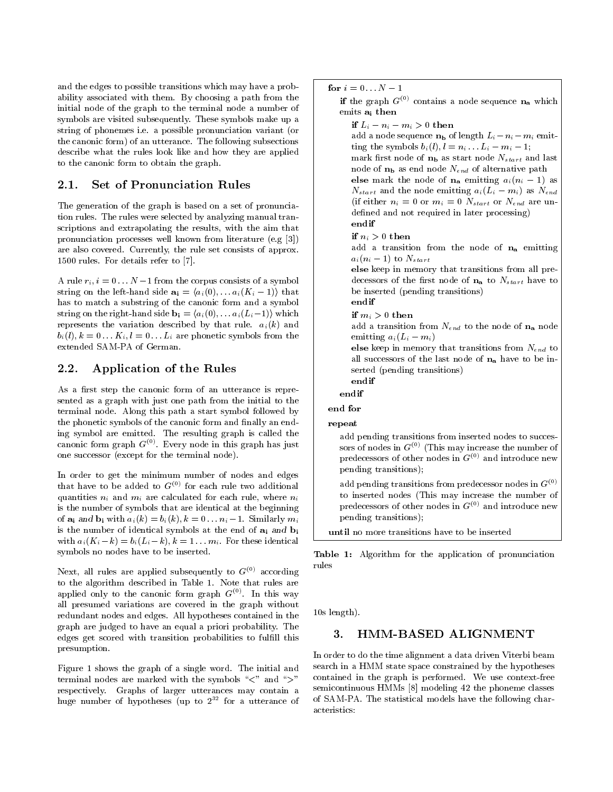and the edges to possible transitions which may have a probability associated with them. By choosing a path from the initial node of the graph to the terminal node a number of symbols are visited subsequently. These symbols make up a string of phonemes i.e. a possible pronunciation variant (or the canonic form) of an utterance. The following subsections describe what the rules look like and how they are applied to the canonic form to obtain the graph.

#### **2.1.1. Set of Pronunciation Rules**  $2.1.$

The generation of the graph is based on a set of pronunciation rules. The rules were selected by analyzing manual transcriptions and extrapolating the results, with the aim that pronunciation processes well known from literature (e.g [3]) are also covered. Currently, the rule set consists of approx. 1500 rules. For details refer to [7].

A rule  $r_i$ ,  $i = 0 \ldots N-1$  from the corpus consists of a symbol string on the left-hand side  $\mathbf{a_i} = \langle a_i(0), \ldots, a_i(K_i - 1) \rangle$  that has to match a substring of the canonic form and a symbol string on the right-hand side  $\mathbf{b_i} = \langle a_i(0), \ldots, a_i(L_i-1) \rangle$  which represents the variation described by that rule.  $a_i(k)$  and  $b_i(l), k = 0 \ldots K_i, l = 0 \ldots L_i$  are phonetic symbols from the extended SAM-PA of German.

### 2.2. Application of the Rules

As a first step the canonic form of an utterance is represented as a graph with just one path from the initial to the terminal node. Along this path a start symbol followed by the phonetic symbols of the canonic form and finally an endcanonic form graph  $G^{(0)}$ . Every node in this graph has just one successor (except for the terminal node).

In order to get the minimum number of nodes and edges that have to be added to  $G^{(0)}$  for each rule two additional quantities  $n_i$  and  $m_i$  are calculated for each rule, where  $n_i$ is the number of symbols that are identical at the beginning of  $\mathbf{a_i}$  and  $\mathbf{b_i}$  with  $a_i(k) = b_i(k)$ ,  $k = 0 \dots n_i - 1$ . Similarly  $m_i$ is the number of identical symbols at the end of  $a_i$  and  $b_i$ with  $a_i(K_i - k) = b_i(L_i - k), k = 1 \dots m_i$ . For these identical symbols no nodes have to be inserted.

Next, all rules are applied subsequently to  $G^{(0)}$  according to the algorithm described in Table 1. Note that rules are applied only to the canonic form graph  $G^{(0)}$ . In this way all presumed variations are covered in the graph without redundant nodes and edges. All hypotheses contained in the graph are judged to have an equal a priori probability. The edges get scored with transition probabilities to fulfill this presumption.

Figure 1 shows the graph of a single word. The initial and terminal nodes are marked with the symbols " $\lt$ " and " $>$ " respectively. Graphs of larger utterances may contain a huge number of hypotheses (up to 2<sup>--</sup> for a utterance of the

if the graph  $G^{\vee\vee}$  contains a node sequence  $\mathbf{n}_{\mathbf{a}}$  which  $|$ emits ai then

if and  $\alpha$  is a contract of  $\alpha$  or  $\alpha$  . In the neutrality of  $\alpha$  is a contract of  $\alpha$ 

if  $\alpha$  is  $\alpha$  or  $\alpha$  then  $\alpha$ 

add a node sequence  $n_b$  of length  $L_i - n_i - m_i$  emitting the symbols  $b_i(l), l = n_i \dots L_i - m_i - 1;$ 

mark first node of  $n_b$  as start node  $N_{start}$  and last node of  $n_b$  as end node  $N_{end}$  of alternative path else market the node of nagion and  $\alpha$  and  $\alpha$  are  $\alpha$ 

 $N_{start}$  and the node emitting  $a_i(L_i - m_i)$  as  $N_{end}$ (if either  $n_i = 0$  or  $m_i = 0$   $N_{start}$  or  $N_{end}$  are undefined and not required in later processing) endif

add a transition from the node of  $n_a$  emitting  $a_i(n_i-1)$  to  $N_{start}$ 

else keep in memory that transitions from all predecessors of the first node of  $n_a$  to  $N_{start}$  have to be inserted (pending transitions)

endif

if  $\cdots$  ,  $\cdots$  0 then if  $\cdots$ 

add a transition from  $N_{end}$  to the node of  $n_a$  node emitting  $a_i(L_i - m_i)$ 

else keep in memory that transitions from Negative to the Negative all successors of the last node of  $n_a$  have to be inserted (pending transitions)

endifendif

end for

repeat

add pending transitions from inserted nodes to successors of nodes in  $G^{(0)}$  (This may increase the number of predecessors of other nodes in  $G^{(0)}$  and introduce new pending transitions);

add pending transitions from predecessor nodes in  $G^{(0)}$ to inserted nodes (This may increase the number of predecessors of other nodes in  $G^{(0)}$  and introduce new pending transitions);

Table 1: Algorithm for the application of pronunciation of pronunciation of the application of the application of the contraction of the contraction of the contraction of the contraction of the contraction of the contracti rules

10s length).

#### 3. HMM-BASED ALIGNMENT 3.

In order to do the time alignment a data driven Viterbi beam search in a HMM state space constrained by the hypotheses contained in the graph is performed. We use context-free semicontinuous HMMs [8] modeling 42 the phoneme classes of SAM-PA. The statistical models have the following characteristics: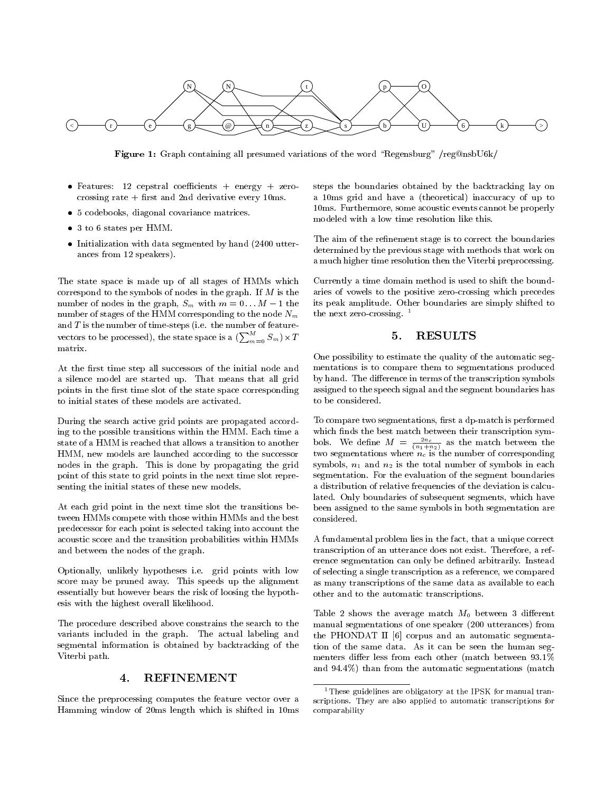

Figure 1: Graph containing all presumed variations of the word \Regensburg" /reg@nsbU6k/

- Features: 12 cepstral coefficients + energy + zerocrossing rate  $+$  first and 2nd derivative every 10ms.
- 5 codebooks, diagonal covariance matrices.
- 3 to 6 states per HMM.
- Initialization with data segmented by hand (2400 utterances from 12 speakers).

The state space is made up of all stages of HMMs which correspond to the symbols of nodes in the graph. If  $M$  is the number of nodes in the graph,  $S_m$  with  $m = 0 \dots M - 1$  the number of stages of the HMM corresponding to the node  $N_m$ and  $T$  is the number of time-steps (i.e. the number of featurevectors to be processed), the state space is a  $\left(\sum_{m=0}^{M} S_m\right) \times T$ matrix.

At the first time step all successors of the initial node and a silence model are started up. That means that all grid points in the first time slot of the state space corresponding to initial states of these models are activated.

During the search active grid points are propagated according to the possible transitions within the HMM. Each time a which finds the best match between their transcription symstate of a HMM is reached that allows a transition to another HMM, new models are launched according to the successor nodes in the graph. This is done by propagating the grid point of this state to grid points in the next time slot repre senting the initial states of these new models.

At each grid point in the next time slot the transitions between HMMs compete with those within HMMs and the best predecessor for each point is selected taking into account the acoustic score and the transition probabilities within HMMs and between the nodes of the graph.

Optionally, unlikely hypotheses i.e. grid points with low score may be pruned away. This speeds up the alignment essentially but however bears the risk of loosing the hypothesis with the highest overall likelihood.

The procedure described above constrains the search to the variants included in the graph. The actual labeling and segmental information is obtained by backtracking of the Viterbi path.

#### **REFINEMENT** 4.

Since the preprocessing computes the feature vector over a Hamming window of 20ms length which is shifted in 10ms steps the boundaries obtained by the backtracking lay on a 10ms grid and have a (theoretical) inaccuracy of up to 10ms. Furthermore, some acoustic events cannot be properly modeled with a low time resolution like this.

The aim of the refinement stage is to correct the boundaries determined by the previous stage with methods that work on a much higher time resolution then the Viterbi preprocessing.

Currently a time domain method is used to shift the boundaries of vowels to the positive zero-crossing which precedes its peak amplitude. Other boundaries are simply shifted to the next zero-crossing.  $1$ 

### 5. RESULTS

One possibility to estimate the quality of the automatic seg mentations is to compare them to segmentations produced by hand. The difference in terms of the transcription symbols assigned to the speech signal and the segment boundaries has to be considered.

To compare two segmentations, first a dp-match is performed bols. We define  $M = \frac{2n_c}{(n_1+n_2)}$  as the match between the two segmentations where  $n_c$  is the number of corresponding symbols,  $n_1$  and  $n_2$  is the total number of symbols in each segmentation. For the evaluation of the segment boundaries a distribution of relative frequencies of the deviation is calculated. Only boundaries of subsequent segments, which have been assigned to the same symbols in both segmentation are considered.

A fundamental problem lies in the fact, that a unique correct transcription of an utterance does not exist. Therefore, a reference segmentation can only be defined arbitrarily. Instead of selecting a single transcription as a reference, we compared as many transcriptions of the same data as available to each other and to the automatic transcriptions.

Table 2 shows the average match  $M_0$  between 3 different manual segmentations of one speaker (200 utterances) from the PHONDAT II [6] corpus and an automatic segmentation of the same data. As it can be seen the human seg menters differ less from each other (match between  $93.1\%$ and 94.4%) than from the automatic segmentations (match

<sup>&</sup>lt;sup>1</sup>These guidelines are obligatory at the IPSK for manual transcriptions. They are also applied to automatic transcriptions for comparability